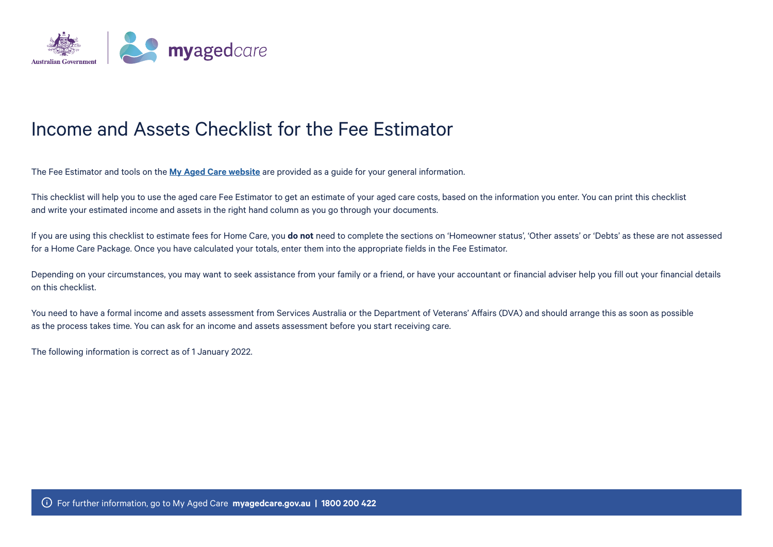

### Income and Assets Checklist for the Fee Estimator

The Fee Estimator and tools on the **[My Aged Care website](https://www.myagedcare.gov.au/how-much-will-i-pay)** are provided as a guide for your general information.

This checklist will help you to use the aged care Fee Estimator to get an estimate of your aged care costs, based on the information you enter. You can print this checklist and write your estimated income and assets in the right hand column as you go through your documents.

If you are using this checklist to estimate fees for Home Care, you **do not** need to complete the sections on 'Homeowner status', 'Other assets' or 'Debts' as these are not assessed for a Home Care Package. Once you have calculated your totals, enter them into the appropriate fields in the Fee Estimator.

Depending on your circumstances, you may want to seek assistance from your family or a friend, or have your accountant or financial adviser help you fill out your financial details on this checklist.

You need to have a formal income and assets assessment from Services Australia or the Department of Veterans' Affairs (DVA) and should arrange this as soon as possible as the process takes time. You can ask for an income and assets assessment before you start receiving care.

The following information is correct as of 1 January 2022.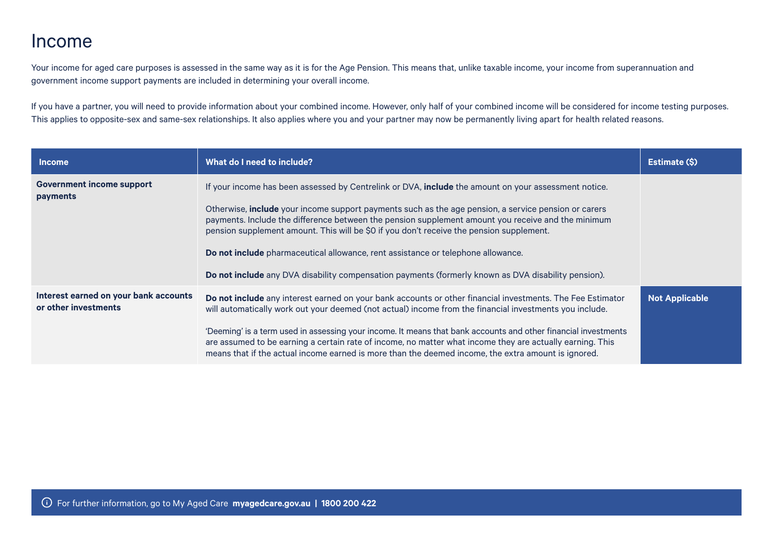#### Income

Your income for aged care purposes is assessed in the same way as it is for the Age Pension. This means that, unlike taxable income, your income from superannuation and government income support payments are included in determining your overall income.

If you have a partner, you will need to provide information about your combined income. However, only half of your combined income will be considered for income testing purposes. This applies to opposite-sex and same-sex relationships. It also applies where you and your partner may now be permanently living apart for health related reasons.

| <b>Income</b>                                                 | What do I need to include?                                                                                                                                                                                                                                                                                                         | Estimate (\$)         |
|---------------------------------------------------------------|------------------------------------------------------------------------------------------------------------------------------------------------------------------------------------------------------------------------------------------------------------------------------------------------------------------------------------|-----------------------|
| Government income support<br>payments                         | If your income has been assessed by Centrelink or DVA, include the amount on your assessment notice.                                                                                                                                                                                                                               |                       |
|                                                               | Otherwise, <b>include</b> your income support payments such as the age pension, a service pension or carers<br>payments. Include the difference between the pension supplement amount you receive and the minimum<br>pension supplement amount. This will be \$0 if you don't receive the pension supplement.                      |                       |
|                                                               | Do not include pharmaceutical allowance, rent assistance or telephone allowance.                                                                                                                                                                                                                                                   |                       |
|                                                               | Do not include any DVA disability compensation payments (formerly known as DVA disability pension).                                                                                                                                                                                                                                |                       |
| Interest earned on your bank accounts<br>or other investments | Do not include any interest earned on your bank accounts or other financial investments. The Fee Estimator<br>will automatically work out your deemed (not actual) income from the financial investments you include.                                                                                                              | <b>Not Applicable</b> |
|                                                               | 'Deeming' is a term used in assessing your income. It means that bank accounts and other financial investments<br>are assumed to be earning a certain rate of income, no matter what income they are actually earning. This<br>means that if the actual income earned is more than the deemed income, the extra amount is ignored. |                       |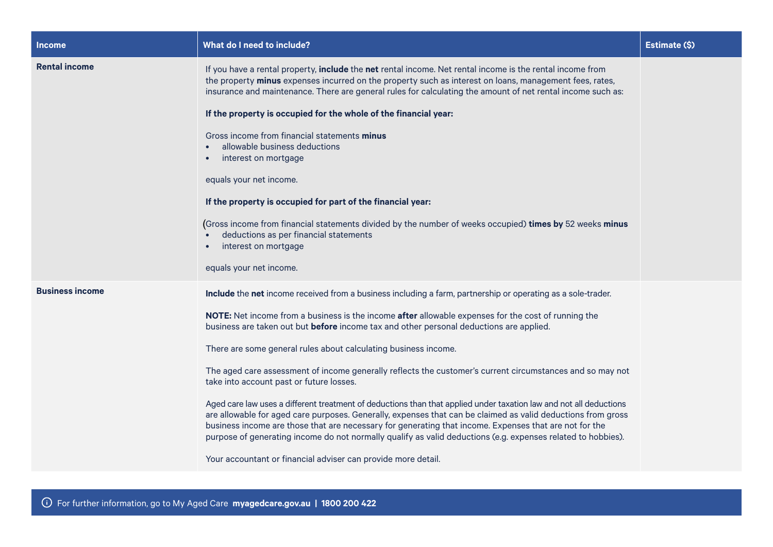| <b>Income</b>          | What do I need to include?                                                                                                                                                                                                                                                                                                                                                                                                                                   | Estimate (\$) |
|------------------------|--------------------------------------------------------------------------------------------------------------------------------------------------------------------------------------------------------------------------------------------------------------------------------------------------------------------------------------------------------------------------------------------------------------------------------------------------------------|---------------|
| <b>Rental income</b>   | If you have a rental property, include the net rental income. Net rental income is the rental income from<br>the property minus expenses incurred on the property such as interest on loans, management fees, rates,<br>insurance and maintenance. There are general rules for calculating the amount of net rental income such as:                                                                                                                          |               |
|                        | If the property is occupied for the whole of the financial year:                                                                                                                                                                                                                                                                                                                                                                                             |               |
|                        | Gross income from financial statements minus<br>allowable business deductions<br>interest on mortgage                                                                                                                                                                                                                                                                                                                                                        |               |
|                        | equals your net income.                                                                                                                                                                                                                                                                                                                                                                                                                                      |               |
|                        | If the property is occupied for part of the financial year:                                                                                                                                                                                                                                                                                                                                                                                                  |               |
|                        | (Gross income from financial statements divided by the number of weeks occupied) times by 52 weeks minus<br>deductions as per financial statements<br>interest on mortgage                                                                                                                                                                                                                                                                                   |               |
|                        | equals your net income.                                                                                                                                                                                                                                                                                                                                                                                                                                      |               |
| <b>Business income</b> | Include the net income received from a business including a farm, partnership or operating as a sole-trader.                                                                                                                                                                                                                                                                                                                                                 |               |
|                        | NOTE: Net income from a business is the income after allowable expenses for the cost of running the<br>business are taken out but before income tax and other personal deductions are applied.                                                                                                                                                                                                                                                               |               |
|                        | There are some general rules about calculating business income.                                                                                                                                                                                                                                                                                                                                                                                              |               |
|                        | The aged care assessment of income generally reflects the customer's current circumstances and so may not<br>take into account past or future losses.                                                                                                                                                                                                                                                                                                        |               |
|                        | Aged care law uses a different treatment of deductions than that applied under taxation law and not all deductions<br>are allowable for aged care purposes. Generally, expenses that can be claimed as valid deductions from gross<br>business income are those that are necessary for generating that income. Expenses that are not for the<br>purpose of generating income do not normally qualify as valid deductions (e.g. expenses related to hobbies). |               |
|                        | Your accountant or financial adviser can provide more detail.                                                                                                                                                                                                                                                                                                                                                                                                |               |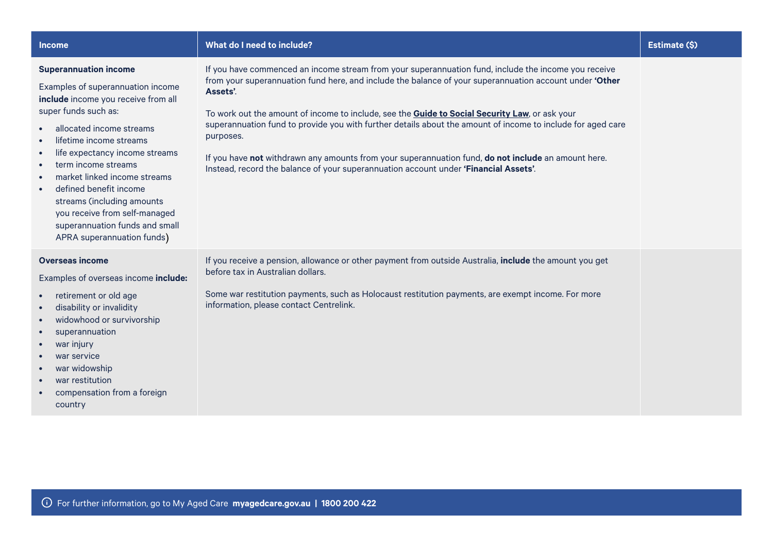| <b>Income</b>                                                                                                                                                                                                                                                                                                                                                                                                                                          | What do I need to include?                                                                                                                                                                                                                                                                                                                                                                                                                                                                                                                                                                                                                                       | Estimate (\$) |
|--------------------------------------------------------------------------------------------------------------------------------------------------------------------------------------------------------------------------------------------------------------------------------------------------------------------------------------------------------------------------------------------------------------------------------------------------------|------------------------------------------------------------------------------------------------------------------------------------------------------------------------------------------------------------------------------------------------------------------------------------------------------------------------------------------------------------------------------------------------------------------------------------------------------------------------------------------------------------------------------------------------------------------------------------------------------------------------------------------------------------------|---------------|
| <b>Superannuation income</b><br>Examples of superannuation income<br>include income you receive from all<br>super funds such as:<br>allocated income streams<br>lifetime income streams<br>life expectancy income streams<br>term income streams<br>market linked income streams<br>defined benefit income<br>$\bullet$<br>streams (including amounts<br>you receive from self-managed<br>superannuation funds and small<br>APRA superannuation funds) | If you have commenced an income stream from your superannuation fund, include the income you receive<br>from your superannuation fund here, and include the balance of your superannuation account under 'Other<br>Assets'.<br>To work out the amount of income to include, see the <b>Guide to Social Security Law</b> , or ask your<br>superannuation fund to provide you with further details about the amount of income to include for aged care<br>purposes.<br>If you have not withdrawn any amounts from your superannuation fund, do not include an amount here.<br>Instead, record the balance of your superannuation account under 'Financial Assets'. |               |
| <b>Overseas income</b><br>Examples of overseas income include:<br>retirement or old age<br>$\bullet$<br>disability or invalidity<br>widowhood or survivorship<br>superannuation<br>war injury<br>war service<br>war widowship<br>war restitution<br>compensation from a foreign                                                                                                                                                                        | If you receive a pension, allowance or other payment from outside Australia, include the amount you get<br>before tax in Australian dollars.<br>Some war restitution payments, such as Holocaust restitution payments, are exempt income. For more<br>information, please contact Centrelink.                                                                                                                                                                                                                                                                                                                                                                    |               |

country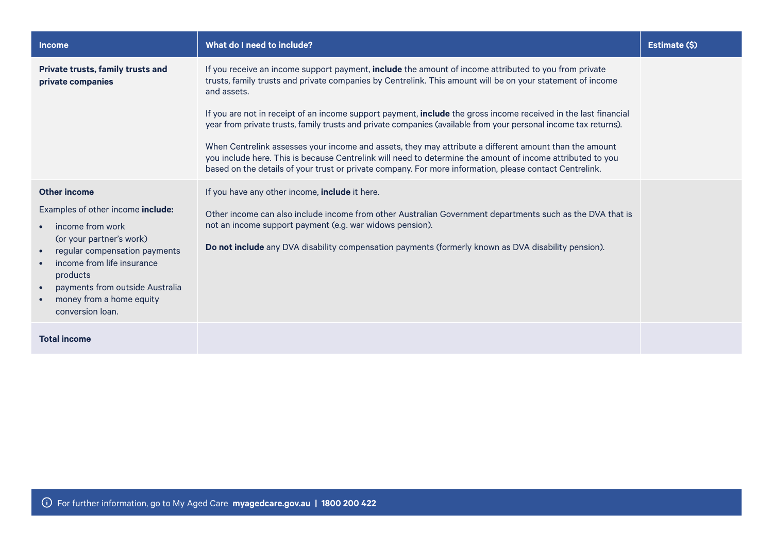| <b>Income</b>                                                                                                                                                                                                                                                                             | What do I need to include?                                                                                                                                                                                                                                                                                                                                                                                                                                                                                                                                                                                                                                                                                                                                                                                   | Estimate (\$) |
|-------------------------------------------------------------------------------------------------------------------------------------------------------------------------------------------------------------------------------------------------------------------------------------------|--------------------------------------------------------------------------------------------------------------------------------------------------------------------------------------------------------------------------------------------------------------------------------------------------------------------------------------------------------------------------------------------------------------------------------------------------------------------------------------------------------------------------------------------------------------------------------------------------------------------------------------------------------------------------------------------------------------------------------------------------------------------------------------------------------------|---------------|
| Private trusts, family trusts and<br>private companies                                                                                                                                                                                                                                    | If you receive an income support payment, include the amount of income attributed to you from private<br>trusts, family trusts and private companies by Centrelink. This amount will be on your statement of income<br>and assets.<br>If you are not in receipt of an income support payment, include the gross income received in the last financial<br>year from private trusts, family trusts and private companies (available from your personal income tax returns).<br>When Centrelink assesses your income and assets, they may attribute a different amount than the amount<br>you include here. This is because Centrelink will need to determine the amount of income attributed to you<br>based on the details of your trust or private company. For more information, please contact Centrelink. |               |
| Other income<br>Examples of other income include:<br>income from work<br>(or your partner's work)<br>regular compensation payments<br>$\bullet$<br>income from life insurance<br>products<br>payments from outside Australia<br>$\bullet$<br>money from a home equity<br>conversion loan. | If you have any other income, include it here.<br>Other income can also include income from other Australian Government departments such as the DVA that is<br>not an income support payment (e.g. war widows pension).<br>Do not include any DVA disability compensation payments (formerly known as DVA disability pension).                                                                                                                                                                                                                                                                                                                                                                                                                                                                               |               |
| <b>Total income</b>                                                                                                                                                                                                                                                                       |                                                                                                                                                                                                                                                                                                                                                                                                                                                                                                                                                                                                                                                                                                                                                                                                              |               |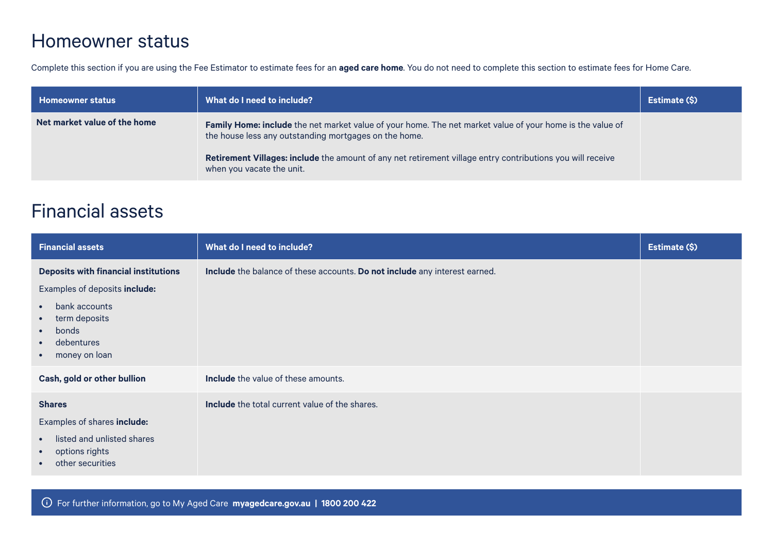### Homeowner status

Complete this section if you are using the Fee Estimator to estimate fees for an **aged care home**. You do not need to complete this section to estimate fees for Home Care.

| <b>Homeowner status</b>      | What do I need to include?                                                                                                                                                                                                                                                                                    | Estimate (\$) |
|------------------------------|---------------------------------------------------------------------------------------------------------------------------------------------------------------------------------------------------------------------------------------------------------------------------------------------------------------|---------------|
| Net market value of the home | Family Home: include the net market value of your home. The net market value of your home is the value of<br>the house less any outstanding mortgages on the home.<br>Retirement Villages: include the amount of any net retirement village entry contributions you will receive<br>when you vacate the unit. |               |

## Financial assets

| <b>Financial assets</b>                                                                                                                 | What do I need to include?                                                 | Estimate (\$) |
|-----------------------------------------------------------------------------------------------------------------------------------------|----------------------------------------------------------------------------|---------------|
| <b>Deposits with financial institutions</b>                                                                                             | Include the balance of these accounts. Do not include any interest earned. |               |
| Examples of deposits include:                                                                                                           |                                                                            |               |
| bank accounts<br>$\bullet$<br>term deposits<br>$\bullet$<br>bonds<br>$\bullet$<br>debentures<br>$\bullet$<br>money on loan<br>$\bullet$ |                                                                            |               |
| Cash, gold or other bullion                                                                                                             | <b>Include</b> the value of these amounts.                                 |               |
| <b>Shares</b>                                                                                                                           | <b>Include</b> the total current value of the shares.                      |               |
| Examples of shares include:                                                                                                             |                                                                            |               |
| listed and unlisted shares<br>$\bullet$<br>options rights<br>$\bullet$<br>other securities<br>$\bullet$                                 |                                                                            |               |

For further information, go to My Aged Care **[myagedcare.gov.au](http://www.myagedcare.gov.au) | 1800 200 422**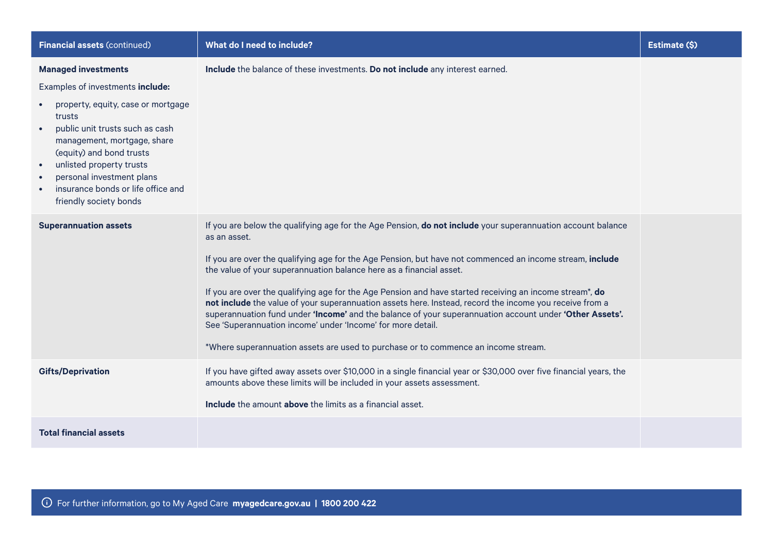| <b>Financial assets (continued)</b>                                                                                                                                                                                                                                                                                                   | What do I need to include?                                                                                                                                                                                                                                                                                                                                                                                                                                                                                                                                                                                                                                                                                                                                                                           | Estimate (\$) |
|---------------------------------------------------------------------------------------------------------------------------------------------------------------------------------------------------------------------------------------------------------------------------------------------------------------------------------------|------------------------------------------------------------------------------------------------------------------------------------------------------------------------------------------------------------------------------------------------------------------------------------------------------------------------------------------------------------------------------------------------------------------------------------------------------------------------------------------------------------------------------------------------------------------------------------------------------------------------------------------------------------------------------------------------------------------------------------------------------------------------------------------------------|---------------|
| <b>Managed investments</b><br>Examples of investments include:<br>property, equity, case or mortgage<br>trusts<br>public unit trusts such as cash<br>management, mortgage, share<br>(equity) and bond trusts<br>unlisted property trusts<br>personal investment plans<br>insurance bonds or life office and<br>friendly society bonds | Include the balance of these investments. Do not include any interest earned.                                                                                                                                                                                                                                                                                                                                                                                                                                                                                                                                                                                                                                                                                                                        |               |
| <b>Superannuation assets</b>                                                                                                                                                                                                                                                                                                          | If you are below the qualifying age for the Age Pension, do not include your superannuation account balance<br>as an asset.<br>If you are over the qualifying age for the Age Pension, but have not commenced an income stream, include<br>the value of your superannuation balance here as a financial asset.<br>If you are over the qualifying age for the Age Pension and have started receiving an income stream*, do<br>not include the value of your superannuation assets here. Instead, record the income you receive from a<br>superannuation fund under 'Income' and the balance of your superannuation account under 'Other Assets'.<br>See 'Superannuation income' under 'Income' for more detail.<br>*Where superannuation assets are used to purchase or to commence an income stream. |               |
| <b>Gifts/Deprivation</b>                                                                                                                                                                                                                                                                                                              | If you have gifted away assets over \$10,000 in a single financial year or \$30,000 over five financial years, the<br>amounts above these limits will be included in your assets assessment.<br><b>Include</b> the amount <b>above</b> the limits as a financial asset.                                                                                                                                                                                                                                                                                                                                                                                                                                                                                                                              |               |
| <b>Total financial assets</b>                                                                                                                                                                                                                                                                                                         |                                                                                                                                                                                                                                                                                                                                                                                                                                                                                                                                                                                                                                                                                                                                                                                                      |               |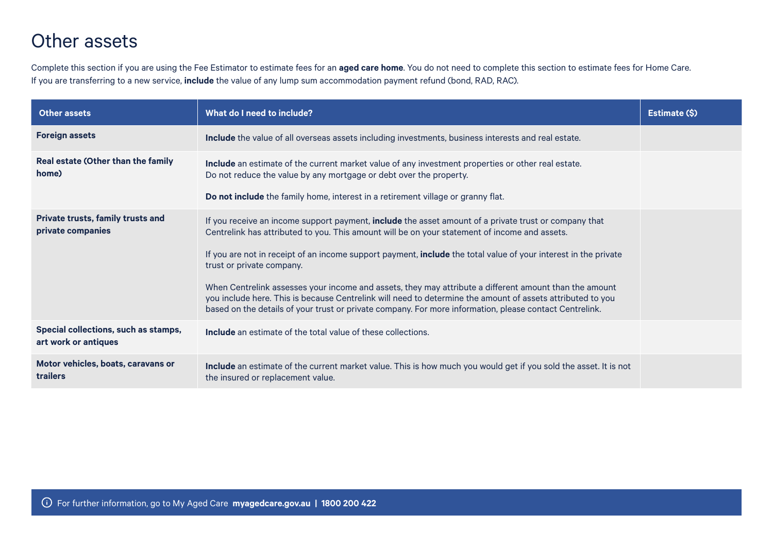# Other assets

Complete this section if you are using the Fee Estimator to estimate fees for an **aged care home**. You do not need to complete this section to estimate fees for Home Care. If you are transferring to a new service, **include** the value of any lump sum accommodation payment refund (bond, RAD, RAC).

| <b>Other assets</b>                                           | What do I need to include?                                                                                                                                                                                                                                                                                                      | Estimate (\$) |
|---------------------------------------------------------------|---------------------------------------------------------------------------------------------------------------------------------------------------------------------------------------------------------------------------------------------------------------------------------------------------------------------------------|---------------|
| <b>Foreign assets</b>                                         | Include the value of all overseas assets including investments, business interests and real estate.                                                                                                                                                                                                                             |               |
| Real estate (Other than the family<br>home)                   | Include an estimate of the current market value of any investment properties or other real estate.<br>Do not reduce the value by any mortgage or debt over the property.                                                                                                                                                        |               |
|                                                               | Do not include the family home, interest in a retirement village or granny flat.                                                                                                                                                                                                                                                |               |
| <b>Private trusts, family trusts and</b><br>private companies | If you receive an income support payment, include the asset amount of a private trust or company that<br>Centrelink has attributed to you. This amount will be on your statement of income and assets.                                                                                                                          |               |
|                                                               | If you are not in receipt of an income support payment, <b>include</b> the total value of your interest in the private<br>trust or private company.                                                                                                                                                                             |               |
|                                                               | When Centrelink assesses your income and assets, they may attribute a different amount than the amount<br>you include here. This is because Centrelink will need to determine the amount of assets attributed to you<br>based on the details of your trust or private company. For more information, please contact Centrelink. |               |
| Special collections, such as stamps,<br>art work or antiques  | <b>Include</b> an estimate of the total value of these collections.                                                                                                                                                                                                                                                             |               |
| Motor vehicles, boats, caravans or<br>trailers                | Include an estimate of the current market value. This is how much you would get if you sold the asset. It is not<br>the insured or replacement value.                                                                                                                                                                           |               |